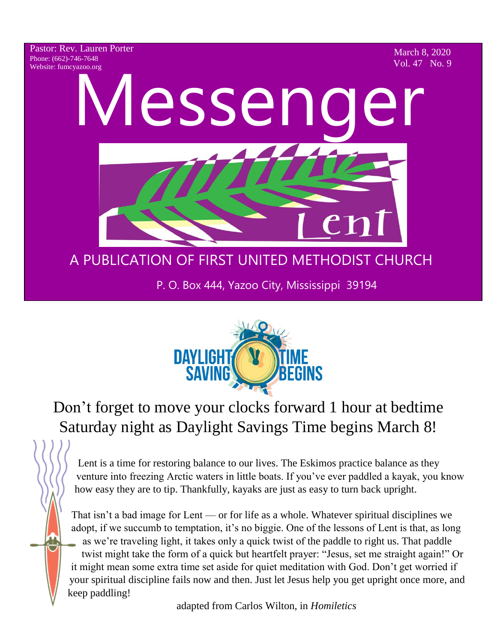Pastor: Rev. Lauren Porter Phone: (662)-746-7648 Website: fumcyazoo.org

March 8, 2020 Vol. 47 No. 9

Vlesseng

# A PUBLICATION OF FIRST UNITED METHODIST CHURCH

P. O. Box 444, Yazoo City, Mississippi 39194



# Don't forget to move your clocks forward 1 hour at bedtime Saturday night as Daylight Savings Time begins March 8!

Lent is a time for restoring balance to our lives. The Eskimos practice balance as they venture into freezing Arctic waters in little boats. If you've ever paddled a kayak, you know how easy they are to tip. Thankfully, kayaks are just as easy to turn back upright.

That isn't a bad image for Lent — or for life as a whole. Whatever spiritual disciplines we adopt, if we succumb to temptation, it's no biggie. One of the lessons of Lent is that, as long as we're traveling light, it takes only a quick twist of the paddle to right us. That paddle twist might take the form of a quick but heartfelt prayer: "Jesus, set me straight again!" Or it might mean some extra time set aside for quiet meditation with God. Don't get worried if your spiritual discipline fails now and then. Just let Jesus help you get upright once more, and keep paddling!

adapted from Carlos Wilton, in *Homiletics*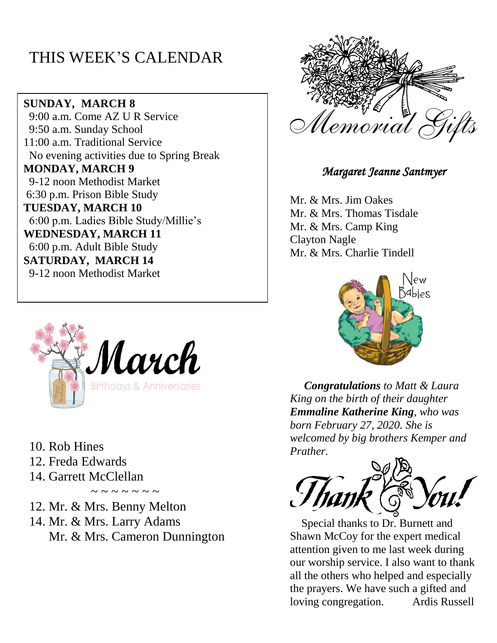## THIS WEEK'S CALENDAR

**SUNDAY, MARCH 8** 9:00 a.m. Come AZ U R Service 9:50 a.m. Sunday School 11:00 a.m. Traditional Service No evening activities due to Spring Break **MONDAY, MARCH 9** 9-12 noon Methodist Market 6:30 p.m. Prison Bible Study **TUESDAY, MARCH 10** 6:00 p.m. Ladies Bible Study/Millie's **WEDNESDAY, MARCH 11** 6:00 p.m. Adult Bible Study **SATURDAY, MARCH 14** 9-12 noon Methodist Market



10. Rob Hines

- 12. Freda Edwards
- 14. Garrett McClellan

 $\sim$  ~ ~ ~ ~ ~ ~

- 12. Mr. & Mrs. Benny Melton
- 14. Mr. & Mrs. Larry Adams Mr. & Mrs. Cameron Dunnington



*Margaret Jeanne Santmyer* 

Mr. & Mrs. Jim Oakes Mr. & Mrs. Thomas Tisdale Mr. & Mrs. Camp King Clayton Nagle Mr. & Mrs. Charlie Tindell



 *Congratulations to Matt & Laura King on the birth of their daughter Emmaline Katherine King, who was born February 27, 2020. She is welcomed by big brothers Kemper and Prather.*



Special thanks to Dr. Burnett and Shawn McCoy for the expert medical attention given to me last week during our worship service. I also want to thank all the others who helped and especially the prayers. We have such a gifted and loving congregation. Ardis Russell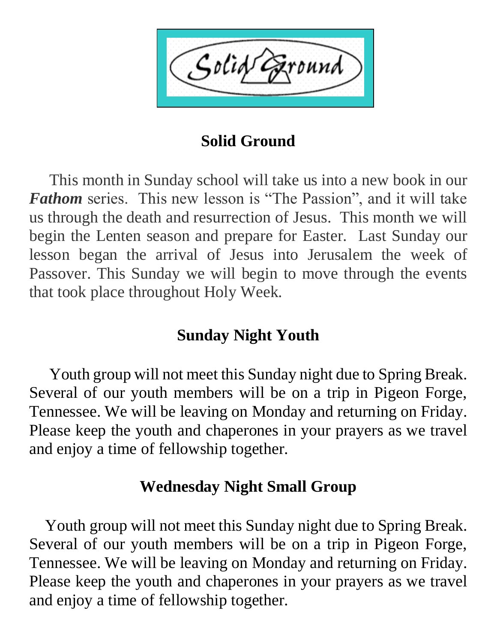Solid

## **Solid Ground**

 This month in Sunday school will take us into a new book in our *Fathom* series. This new lesson is "The Passion", and it will take us through the death and resurrection of Jesus. This month we will begin the Lenten season and prepare for Easter. Last Sunday our lesson began the arrival of Jesus into Jerusalem the week of Passover. This Sunday we will begin to move through the events that took place throughout Holy Week.

## **Sunday Night Youth**

 Youth group will not meet this Sunday night due to Spring Break. Several of our youth members will be on a trip in Pigeon Forge, Tennessee. We will be leaving on Monday and returning on Friday. Please keep the youth and chaperones in your prayers as we travel and enjoy a time of fellowship together.

## **Wednesday Night Small Group**

 Youth group will not meet this Sunday night due to Spring Break. Several of our youth members will be on a trip in Pigeon Forge, Tennessee. We will be leaving on Monday and returning on Friday. Please keep the youth and chaperones in your prayers as we travel and enjoy a time of fellowship together.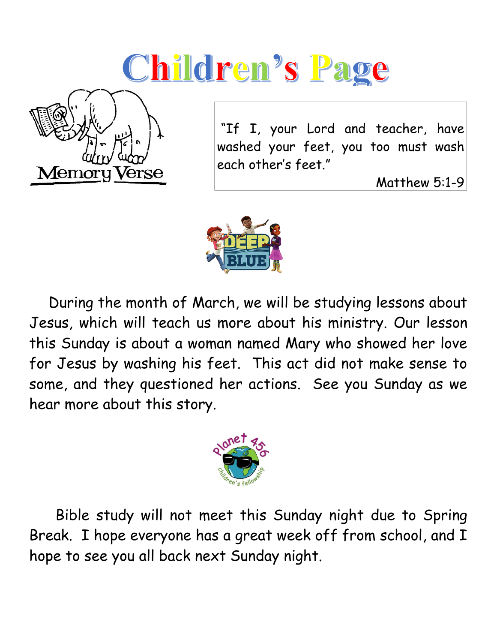# Children's Page



"If I, your Lord and teacher, have washed your feet, you too must wash each other's feet."

Matthew 5:1-9



 During the month of March, we will be studying lessons about Jesus, which will teach us more about his ministry. Our lesson this Sunday is about a woman named Mary who showed her love for Jesus by washing his feet. This act did not make sense to some, and they questioned her actions. See you Sunday as we hear more about this story.



 Bible study will not meet this Sunday night due to Spring Break. I hope everyone has a great week off from school, and I hope to see you all back next Sunday night.